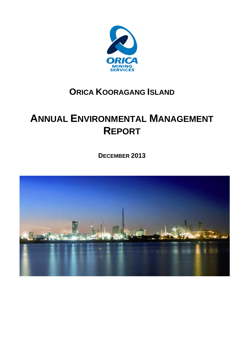

# **ORICA KOORAGANG ISLAND**

# **ANNUAL ENVIRONMENTAL MANAGEMENT REPORT**

**DECEMBER 2013** 

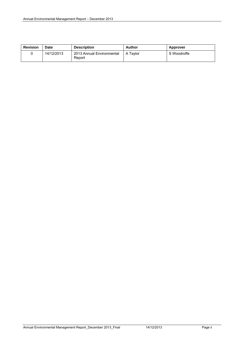| <b>Revision</b> | <b>Date</b> | <b>Description</b>                  | Author     | Approver    |
|-----------------|-------------|-------------------------------------|------------|-------------|
|                 | 14/12/2013  | 2013 Annual Environmental<br>Report | l A Tavlor | S Woodroffe |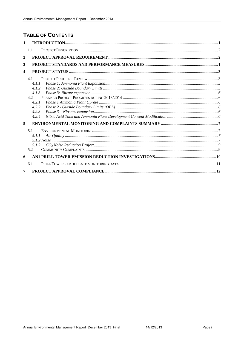# **TABLE OF CONTENTS**

| 1                       |                                           |  |
|-------------------------|-------------------------------------------|--|
|                         | 1.1                                       |  |
| $\mathbf{2}$            |                                           |  |
| 3                       |                                           |  |
| $\overline{\mathbf{4}}$ |                                           |  |
|                         | 4.1                                       |  |
|                         | 4.1.1                                     |  |
|                         | 4.1.2                                     |  |
|                         | 4.1.3                                     |  |
|                         | 4.2                                       |  |
|                         | 4.2.1                                     |  |
|                         | 4.2.2                                     |  |
|                         | 4.2.3                                     |  |
|                         | 4.2.4                                     |  |
| 5                       |                                           |  |
|                         | 5.1                                       |  |
|                         | 5.1.1                                     |  |
|                         |                                           |  |
|                         | $CO2 Noise Reduction Project .9$<br>5.1.2 |  |
|                         | 5.2                                       |  |
| 6                       |                                           |  |
|                         | 6.1                                       |  |
| 7                       |                                           |  |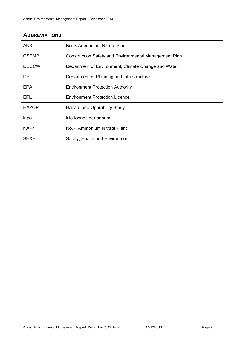# **ABBREVIATIONS**

| AN <sub>3</sub> | No. 3 Ammonium Nitrate Plant                                 |
|-----------------|--------------------------------------------------------------|
| <b>CSEMP</b>    | <b>Construction Safety and Environmental Management Plan</b> |
| <b>DECCW</b>    | Department of Environment, Climate Change and Water          |
| DPI.            | Department of Planning and Infrastructure                    |
| EPA             | <b>Environment Protection Authority</b>                      |
| EPL             | <b>Environment Protection Licence</b>                        |
| <b>HAZOP</b>    | Hazard and Operability Study                                 |
| ktpa            | kilo tonnes per annum                                        |
| NAP4            | No. 4 Ammonium Nitrate Plant                                 |
| SH&E            | Safety, Health and Environment                               |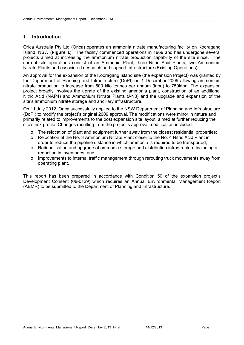### **1 Introduction**

Orica Australia Pty Ltd (Orica) operates an ammonia nitrate manufacturing facility on Kooragang Island, NSW (**Figure 1**). The facility commenced operations in 1969 and has undergone several projects aimed at increasing the ammonium nitrate production capability of the site since. The current site operations consist of an Ammonia Plant, three Nitric Acid Plants, two Ammonium Nitrate Plants and associated despatch and support infrastructure (Existing Operations).

An approval for the expansion of the Kooragang Island site (the expansion Project) was granted by the Department of Planning and Infrastructure (DoPI) on 1 December 2009 allowing ammonium nitrate production to increase from 500 kilo tonnes per annum (ktpa) to 750ktpa. The expansion project broadly involves the uprate of the existing ammonia plant, construction of an additional Nitric Acid (NAP4) and Ammonium Nitrate Plants (AN3) and the upgrade and expansion of the site's ammonium nitrate storage and ancillary infrastructure.

On 11 July 2012, Orica successfully applied to the NSW Department of Planning and Infrastructure (DoPI) to modify the project's original 2009 approval. The modifications were minor in nature and primarily related to improvements to the post expansion site layout, aimed at further reducing the site's risk profile. Changes resulting from the project's approval modification included:

- o The relocation of plant and equipment further away from the closest residential properties;
- o Relocation of the No. 3 Ammonium Nitrate Plant closer to the No. 4 Nitric Acid Plant in order to reduce the pipeline distance in which ammonia is required to be transported;
- $\circ$  Rationalisation and upgrade of ammonia storage and distribution infrastructure including a reduction in inventories; and
- o Improvements to internal traffic management through rerouting truck movements away from operating plant.

This report has been prepared in accordance with Condition 50 of the expansion project's Development Consent (08-0129) which requires an Annual Environmental Management Report (AEMR) to be submitted to the Department of Planning and Infrastructure.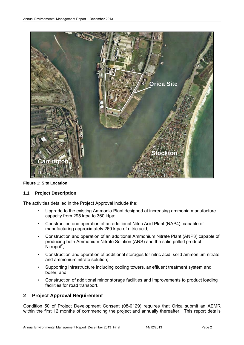

**Figure 1: Site Location** 

#### **1.1 Project Description**

The activities detailed in the Project Approval include the:

- Upgrade to the existing Ammonia Plant designed at increasing ammonia manufacture capacity from 295 ktpa to 360 ktpa;
- Construction and operation of an additional Nitric Acid Plant (NAP4), capable of manufacturing approximately 260 ktpa of nitric acid;
- Construction and operation of an additional Ammonium Nitrate Plant (ANP3) capable of producing both Ammonium Nitrate Solution (ANS) and the solid prilled product Nitropril<sup>®</sup>;
- Construction and operation of additional storages for nitric acid, solid ammonium nitrate and ammonium nitrate solution;
- Supporting infrastructure including cooling towers, an effluent treatment system and boiler; and
- Construction of additional minor storage facilities and improvements to product loading facilities for road transport.

#### **2 Project Approval Requirement**

Condition 50 of Project Development Consent (08-0129) requires that Orica submit an AEMR within the first 12 months of commencing the project and annually thereafter. This report details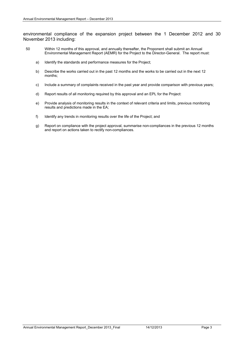environmental compliance of the expansion project between the 1 December 2012 and 30 November 2013 including:

- 50 Within 12 months of this approval, and annually thereafter, the Proponent shall submit an Annual Environmental Management Report (AEMR) for the Project to the Director-General. The report must:
	- a) Identify the standards and performance measures for the Project;
	- b) Describe the works carried out in the past 12 months and the works to be carried out in the next 12 months;
	- c) Include a summary of complaints received in the past year and provide comparison with previous years;
	- d) Report results of all monitoring required by this approval and an EPL for the Project:
	- e) Provide analysis of monitoring results in the context of relevant criteria and limits, previous monitoring results and predictions made in the EA;
	- f) Identify any trends in monitoring results over the life of the Project; and
	- g) Report on compliance with the project approval, summarise non-compliances in the previous 12 months and report on actions taken to rectify non-compliances.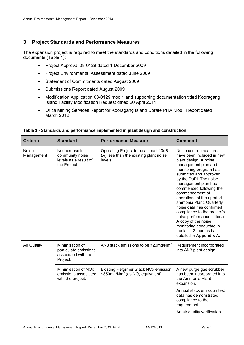### **3 Project Standards and Performance Measures**

The expansion project is required to meet the standards and conditions detailed in the following documents (Table 1):

- Project Approval 08-0129 dated 1 December 2009
- Project Environmental Assessment dated June 2009
- Statement of Commitments dated August 2009
- Submissions Report dated August 2009
- Modification Application 08-0129 mod 1 and supporting documentation titled Kooragang Island Facility Modification Request dated 20 April 2011;
- Orica Mining Services Report for Kooragang Island Uprate PHA Mod1 Report dated March 2012

| <b>Criteria</b>            | <b>Standard</b>                                                             | <b>Performance Measure</b>                                                                     | <b>Comment</b>                                                                                                                                                                                                                                                                                                                                                                                                                                                                                                  |
|----------------------------|-----------------------------------------------------------------------------|------------------------------------------------------------------------------------------------|-----------------------------------------------------------------------------------------------------------------------------------------------------------------------------------------------------------------------------------------------------------------------------------------------------------------------------------------------------------------------------------------------------------------------------------------------------------------------------------------------------------------|
| <b>Noise</b><br>Management | No increase in<br>community noise<br>levels as a result of<br>the Project.  | Operating Project to be at least 10dB<br>(A) less than the existing plant noise<br>levels.     | Noise control measures<br>have been included in new<br>plant design. A noise<br>management plan and<br>monitoring program has<br>submitted and approved<br>by the DoPI. The noise<br>management plan has<br>commenced following the<br>commencement of<br>operations of the uprated<br>ammonia Plant. Quarterly<br>noise data has confirmed<br>compliance to the project's<br>noise performance criteria.<br>A copy of the noise<br>monitoring conducted in<br>the last 12 months is<br>detailed in Appendix A. |
| <b>Air Quality</b>         | Minimisation of<br>particulate emissions<br>associated with the<br>Project. | AN3 stack emissions to be $\leq$ 20mg/Nm <sup>3</sup>                                          | Requirement incorporated<br>into AN3 plant design.                                                                                                                                                                                                                                                                                                                                                                                                                                                              |
|                            | Minimisation of NOx<br>emissions associated<br>with the project.            | Existing Reformer Stack NOx emission<br>≤350mg/Nm <sup>3</sup> (as NO <sub>2</sub> equivalent) | A new purge gas scrubber<br>has been incorporated into<br>the Ammonia Plant<br>expansion.                                                                                                                                                                                                                                                                                                                                                                                                                       |
|                            |                                                                             |                                                                                                | Annual stack emission test<br>data has demonstrated<br>compliance to the<br>requirement                                                                                                                                                                                                                                                                                                                                                                                                                         |
|                            |                                                                             |                                                                                                | An air quality verification                                                                                                                                                                                                                                                                                                                                                                                                                                                                                     |

**Table 1 - Standards and performance implemented in plant design and construction**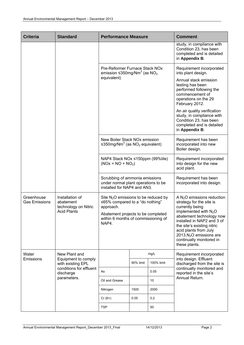| <b>Criteria</b>                    | <b>Standard</b>                                                            | <b>Performance Measure</b>                                                                                                                                                         |                                                                                                      |                                                                                                                                                                                                                                                                                                              | <b>Comment</b>                                                                                                                    |  |
|------------------------------------|----------------------------------------------------------------------------|------------------------------------------------------------------------------------------------------------------------------------------------------------------------------------|------------------------------------------------------------------------------------------------------|--------------------------------------------------------------------------------------------------------------------------------------------------------------------------------------------------------------------------------------------------------------------------------------------------------------|-----------------------------------------------------------------------------------------------------------------------------------|--|
|                                    |                                                                            |                                                                                                                                                                                    |                                                                                                      |                                                                                                                                                                                                                                                                                                              | study, in compliance with<br>Condition 23, has been<br>completed and is detailed<br>in Appendix B.                                |  |
|                                    |                                                                            | Pre-Reformer Furnace Stack NOx<br>emission $\leq$ 350mg/Nm <sup>3</sup> (as NO <sub>2</sub>                                                                                        |                                                                                                      | Requirement incorporated<br>into plant design.                                                                                                                                                                                                                                                               |                                                                                                                                   |  |
|                                    |                                                                            | equivalent)                                                                                                                                                                        |                                                                                                      | Annual stack emission<br>testing has been<br>performed following the<br>commencement of<br>operations on the 29<br>February 2012.                                                                                                                                                                            |                                                                                                                                   |  |
|                                    |                                                                            |                                                                                                                                                                                    |                                                                                                      |                                                                                                                                                                                                                                                                                                              | An air quality verification<br>study, in compliance with<br>Condition 23, has been<br>completed and is detailed<br>in Appendix B. |  |
|                                    |                                                                            | New Boiler Stack NOx emission<br>≤350mg/Nm <sup>3</sup> (as NO <sub>2</sub> equivalent)<br>NAP4 Stack NOx ≤150ppm (99%tile)<br>$(NOx = NO + NO2)$                                  |                                                                                                      | Requirement has been<br>incorporated into new<br>Boiler design.                                                                                                                                                                                                                                              |                                                                                                                                   |  |
|                                    |                                                                            |                                                                                                                                                                                    |                                                                                                      | Requirement incorporated<br>into design for the new<br>acid plant.                                                                                                                                                                                                                                           |                                                                                                                                   |  |
|                                    |                                                                            |                                                                                                                                                                                    | Scrubbing of ammonia emissions<br>under normal plant operations to be<br>installed for NAP4 and AN3. |                                                                                                                                                                                                                                                                                                              | Requirement has been<br>incorporated into design.                                                                                 |  |
| Greenhouse<br><b>Gas Emissions</b> | Installation of<br>abatement<br>technology on Nitric<br><b>Acid Plants</b> | Site $N_2O$ emissions to be reduced by<br>$\leq$ 65% compared to a "do nothing"<br>approach.<br>Abatement projects to be completed<br>within 6 months of commissioning of<br>NAP4. |                                                                                                      | A $N2O$ emissions reduction<br>strategy for the site is<br>currently being<br>implemented with N <sub>2</sub> O<br>abatement technology now<br>installed in NAP2 and 3 of<br>the site's existing nitric<br>acid plants from July<br>2013. $N_2$ O emissions are<br>continually monitored in<br>these plants. |                                                                                                                                   |  |
| Water                              | New Plant and                                                              |                                                                                                                                                                                    |                                                                                                      | mg/L                                                                                                                                                                                                                                                                                                         | Requirement incorporated                                                                                                          |  |
| Emissions                          | Equipment to comply<br>with existing EPL                                   |                                                                                                                                                                                    | 90% limit                                                                                            | 100% limit                                                                                                                                                                                                                                                                                                   | into design. Effluent<br>discharged from the site is                                                                              |  |
|                                    | conditions for effluent<br>discharge                                       | As                                                                                                                                                                                 |                                                                                                      | 0.05                                                                                                                                                                                                                                                                                                         | continually monitored and<br>reported in the site's                                                                               |  |
|                                    | parameters.                                                                | Oil and Grease                                                                                                                                                                     |                                                                                                      | 10                                                                                                                                                                                                                                                                                                           | Annual Return.                                                                                                                    |  |
|                                    |                                                                            | Nitrogen                                                                                                                                                                           | 1500                                                                                                 | 2000                                                                                                                                                                                                                                                                                                         |                                                                                                                                   |  |
|                                    |                                                                            | $Cr(6+)$                                                                                                                                                                           | 0.05                                                                                                 | 0.2                                                                                                                                                                                                                                                                                                          |                                                                                                                                   |  |
|                                    |                                                                            | <b>TSP</b>                                                                                                                                                                         |                                                                                                      | 50                                                                                                                                                                                                                                                                                                           |                                                                                                                                   |  |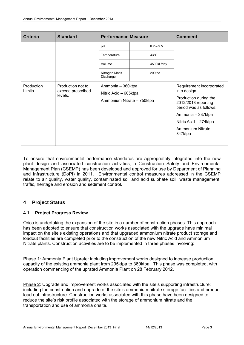| <b>Criteria</b>      | <b>Standard</b>                                   | <b>Performance Measure</b>                                               |  |                                                                                                                                                                                                   | <b>Comment</b> |
|----------------------|---------------------------------------------------|--------------------------------------------------------------------------|--|---------------------------------------------------------------------------------------------------------------------------------------------------------------------------------------------------|----------------|
|                      |                                                   | рH                                                                       |  | $6.2 - 9.5$                                                                                                                                                                                       |                |
|                      |                                                   | Temperature                                                              |  | $43^{\circ}$ C                                                                                                                                                                                    |                |
|                      |                                                   | Volume                                                                   |  | 4500kL/day                                                                                                                                                                                        |                |
|                      |                                                   | Nitrogen Mass<br>Discharge                                               |  | 200tpa                                                                                                                                                                                            |                |
| Production<br>Limits | Production not to<br>exceed prescribed<br>levels. | Ammonia - 360ktpa<br>Nitric Acid - 605ktpa<br>Ammonium Nitrate - 750ktpa |  | Requirement incorporated<br>into design.<br>Production during the<br>2012/2013 reporting<br>period was as follows:<br>Ammonia - 337ktpa<br>Nitric Acid - 274ktpa<br>Ammonium Nitrate -<br>347ktpa |                |

To ensure that environmental performance standards are appropriately integrated into the new plant design and associated construction activities, a Construction Safety and Environmental Management Plan (CSEMP) has been developed and approved for use by Department of Planning and Infrastructure (DoPI) in 2011. Environmental control measures addressed in the CSEMP relate to air quality, water quality, contaminated soil and acid sulphate soil, waste management, traffic, heritage and erosion and sediment control.

# **4 Project Status**

#### **4.1 Project Progress Review**

Orica is undertaking the expansion of the site in a number of construction phases. This approach has been adopted to ensure that construction works associated with the upgrade have minimal impact on the site's existing operations and that upgraded ammonium nitrate product storage and loadout facilities are completed prior to the construction of the new Nitric Acid and Ammonium Nitrate plants. Construction activities are to be implemented in three phases involving:

Phase 1: Ammonia Plant Uprate: including improvement works designed to increase production capacity of the existing ammonia plant from 295ktpa to 360ktpa. This phase was completed, with operation commencing of the uprated Ammonia Plant on 28 February 2012.

Phase 2: Upgrade and improvement works associated with the site's supporting infrastructure: including the construction and upgrade of the site's ammonium nitrate storage facilities and product load out infrastructure. Construction works associated with this phase have been designed to reduce the site's risk profile associated with the storage of ammonium nitrate and the transportation and use of ammonia onsite.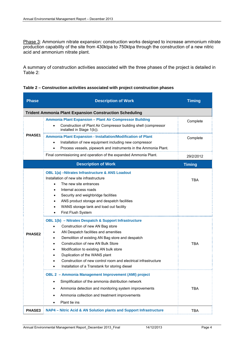Phase 3: Ammonium nitrate expansion: construction works designed to increase ammonium nitrate production capability of the site from 430ktpa to 750ktpa through the construction of a new nitric acid and ammonium nitrate plant.

A summary of construction activities associated with the three phases of the project is detailed in Table 2:

| <b>Phase</b>  | <b>Description of Work</b>                                                                                                                                                                                                                                                                                                                                                                                                                                      | <b>Timing</b> |
|---------------|-----------------------------------------------------------------------------------------------------------------------------------------------------------------------------------------------------------------------------------------------------------------------------------------------------------------------------------------------------------------------------------------------------------------------------------------------------------------|---------------|
|               | <b>Trident Ammonia Plant Expansion Construction Scheduling</b>                                                                                                                                                                                                                                                                                                                                                                                                  |               |
| <b>PHASE1</b> | Ammonia Plant Expansion - Plant Air Compressor Building<br>Construction of Plant Air Compressor building shell (compressor<br>installed in Stage 1(b)).                                                                                                                                                                                                                                                                                                         | Complete      |
|               | Ammonia Plant Expansion - Installation/Modification of Plant<br>Installation of new equipment including new compressor<br>Process vessels, pipework and instruments in the Ammonia Plant.<br>$\bullet$                                                                                                                                                                                                                                                          | Complete      |
|               | Final commissioning and operation of the expanded Ammonia Plant.                                                                                                                                                                                                                                                                                                                                                                                                | 29/2/2012     |
|               | <b>Description of Work</b>                                                                                                                                                                                                                                                                                                                                                                                                                                      | <b>Timing</b> |
|               | OBL 1(a) -Nitrates Infrastructure & ANS Loadout<br>Installation of new site infrastructure<br>The new site entrances<br>$\bullet$<br>Internal access roads<br>$\bullet$<br>Security and weighbridge facilities<br>$\bullet$<br>ANS product storage and despatch facilities<br>WANS storage tank and load out facility<br>$\bullet$<br>First Flush System<br>$\bullet$                                                                                           | <b>TBA</b>    |
| <b>PHASE2</b> | OBL 1(b) - Nitrates Despatch & Support Infrastructure<br>Construction of new AN Bag store<br>AN Despatch facilities and amenities<br>٠<br>Demolition of existing AN Bag store and despatch<br><b>Construction of new AN Bulk Store</b><br>Modification to existing AN bulk store<br>$\bullet$<br>Duplication of the WANS plant<br>Construction of new control room and electrical infrastructure<br>Installation of a Transtank for storing diesel<br>$\bullet$ | <b>TBA</b>    |
|               | OBL 2 - Ammonia Management Improvement (AMI) project<br>Simplification of the ammonia distribution network<br>٠<br>Ammonia detection and monitoring system improvements<br>Ammonia collection and treatment improvements<br>Plant tie ins                                                                                                                                                                                                                       | <b>TBA</b>    |
| PHASE3        | NAP4 - Nitric Acid & AN Solution plants and Support Infrastructure                                                                                                                                                                                                                                                                                                                                                                                              | <b>TBA</b>    |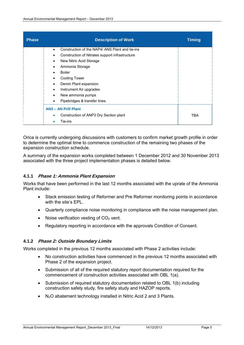| <b>Phase</b> | <b>Description of Work</b>                                  | <b>Timing</b> |
|--------------|-------------------------------------------------------------|---------------|
|              | Construction of the NAP4/ANS Plant and tie-ins<br>$\bullet$ |               |
|              | Construction of Nitrates support infrastructure             |               |
|              | New Nitric Acid Storage<br>$\bullet$                        |               |
|              | Ammonia Storage<br>$\bullet$                                |               |
|              | <b>Boiler</b><br>$\bullet$                                  |               |
|              | <b>Cooling Tower</b><br>٠                                   |               |
|              | Demin Plant expansion<br>$\bullet$                          |               |
|              | Instrument Air upgrades<br>$\bullet$                        |               |
|              | New ammonia pumps<br>$\bullet$                              |               |
|              | Pipebridges & transfer lines.<br>٠                          |               |
|              | <b>AN3 - AN Prill Plant</b>                                 |               |
|              | Construction of ANP3 Dry Section plant<br>۰                 | <b>TBA</b>    |
|              | Tie-ins<br>٠                                                |               |

Orica is currently undergoing discussions with customers to confirm market growth profile in order to determine the optimal time to commence construction of the remaining two phases of the expansion construction schedule.

A summary of the expansion works completed between 1 December 2012 and 30 November 2013 associated with the three project implementation phases is detailed below.

#### **4.1.1 Phase 1: Ammonia Plant Expansion**

Works that have been performed in the last 12 months associated with the uprate of the Ammonia Plant include:

- Stack emission testing of Reformer and Pre Reformer monitoring points in accordance with the site's EPL.
- Quarterly compliance noise monitoring in compliance with the noise management plan.
- Noise verification vesting of  $CO<sub>2</sub>$  vent.
- Regulatory reporting in accordance with the approvals Condition of Consent.

#### **4.1.2 Phase 2: Outside Boundary Limits**

Works completed in the previous 12 months associated with Phase 2 activities include:

- No construction activities have commenced in the previous 12 months associated with Phase 2 of the expansion project.
- Submission of all of the required statutory report documentation required for the commencement of construction activities associated with OBL 1(a).
- Submission of required statutory documentation related to OBL 1(b) including construction safety study, fire safety study and HAZOP reports.
- N<sub>2</sub>O abatement technology installed in Nitric Acid 2 and 3 Plants.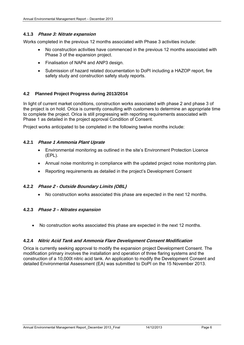#### **4.1.3 Phase 3: Nitrate expansion**

Works completed in the previous 12 months associated with Phase 3 activities include:

- No construction activities have commenced in the previous 12 months associated with Phase 3 of the expansion project.
- Finalisation of NAP4 and ANP3 design.
- Submission of hazard related documentation to DoPI including a HAZOP report, fire safety study and construction safety study reports.

#### **4.2 Planned Project Progress during 2013/2014**

In light of current market conditions, construction works associated with phase 2 and phase 3 of the project is on hold. Orica is currently consulting with customers to determine an appropriate time to complete the project. Orica is still progressing with reporting requirements associated with Phase 1 as detailed in the project approval Condition of Consent.

Project works anticipated to be completed in the following twelve months include:

#### **4.2.1 Phase 1 Ammonia Plant Uprate**

- Environmental monitoring as outlined in the site's Environment Protection Licence (EPL).
- Annual noise monitoring in compliance with the updated project noise monitoring plan.
- Reporting requirements as detailed in the project's Development Consent

#### **4.2.2 Phase 2 - Outside Boundary Limits (OBL)**

No construction works associated this phase are expected in the next 12 months.

#### **4.2.3 Phase 3 – Nitrates expansion**

No construction works associated this phase are expected in the next 12 months.

#### **4.2.4 Nitric Acid Tank and Ammonia Flare Development Consent Modification**

Orica is currently seeking approval to modify the expansion project Development Consent. The modification primary involves the installation and operation of three flaring systems and the construction of a 10,000t nitric acid tank. An application to modify the Development Consent and detailed Environmental Assessment (EA) was submitted to DoPI on the 15 November 2013.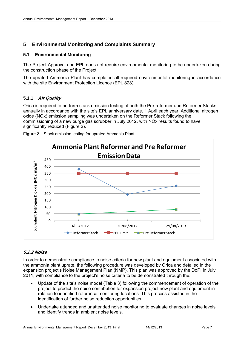# **5 Environmental Monitoring and Complaints Summary**

#### **5.1 Environmental Monitoring**

The Project Approval and EPL does not require environmental monitoring to be undertaken during the construction phase of the Project.

The uprated Ammonia Plant has completed all required environmental monitoring in accordance with the site Environment Protection Licence (EPL 828).

#### **5.1.1 Air Quality**

Orica is required to perform stack emission testing of both the Pre-reformer and Reformer Stacks annually in accordance with the site's EPL anniversary date, 1 April each year. Additional nitrogen oxide (NOx) emission sampling was undertaken on the Reformer Stack following the commissioning of a new purge gas scrubber in July 2012, with NOx results found to have significantly reduced (Figure 2).



**Figure 2 –** Stack emission testing for uprated Ammonia Plant

# **5.1.2 Noise**

In order to demonstrate compliance to noise criteria for new plant and equipment associated with the ammonia plant uprate, the following procedure was developed by Orica and detailed in the expansion project's Noise Management Plan (NMP). This plan was approved by the DoPI in July 2011, with compliance to the project's noise criteria to be demonstrated through the:

- Update of the site's noise model (Table 3) following the commencement of operation of the project to predict the noise contribution for expansion project new plant and equipment in relation to identified reference monitoring locations. This process assisted in the identification of further noise reduction opportunities.
- Undertake attended and unattended noise monitoring to evaluate changes in noise levels and identify trends in ambient noise levels.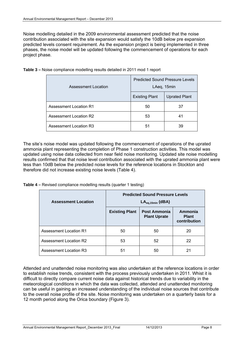Noise modelling detailed in the 2009 environmental assessment predicted that the noise contribution associated with the site expansion would satisfy the 10dB below pre expansion predicted levels consent requirement. As the expansion project is being implemented in three phases, the noise model will be updated following the commencement of operations for each project phase.

| <b>Assessment Location</b>    | <b>Predicted Sound Pressure Levels</b><br>LAeq, 15min |                      |  |
|-------------------------------|-------------------------------------------------------|----------------------|--|
|                               | <b>Existing Plant</b>                                 | <b>Uprated Plant</b> |  |
| <b>Assessment Location R1</b> | 50                                                    | 37                   |  |
| <b>Assessment Location R2</b> | 53                                                    | 41                   |  |
| Assessment Location R3        | 51                                                    | 39                   |  |

**Table 3 –** Noise compliance modelling results detailed in 2011 mod 1 report

The site's noise model was updated following the commencement of operations of the uprated ammonia plant representing the completion of Phase 1 construction activities. This model was updated using noise data collected from near field noise monitoring. Updated site noise modelling results confirmed that that noise level contribution associated with the uprated ammonia plant were less than 10dB below the predicted noise levels for the reference locations in Stockton and therefore did not increase existing noise levels (Table 4).

**Table 4 –** Revised compliance modelling results (quarter 1 testing)

| <b>Assessment Location</b>    | <b>Predicted Sound Pressure Levels</b><br>$LA_{eq,15min}$ (dBA) |                                     |                                         |  |
|-------------------------------|-----------------------------------------------------------------|-------------------------------------|-----------------------------------------|--|
|                               | <b>Existing Plant</b>                                           | Post Ammonia<br><b>Plant Uprate</b> | Ammonia<br><b>Plant</b><br>contribution |  |
| <b>Assessment Location R1</b> | 50                                                              | 50                                  | 20                                      |  |
| <b>Assessment Location R2</b> | 53                                                              | 52                                  | 22                                      |  |
| <b>Assessment Location R3</b> | 51                                                              | 50                                  | 21                                      |  |

Attended and unattended noise monitoring was also undertaken at the reference locations in order to establish noise trends, consistent with the process previously undertaken in 2011. Whist it is difficult to directly compare current noise data against historical trends due to variability in the meteorological conditions in which the data was collected, attended and unattended monitoring can be useful in gaining an increased understanding of the individual noise sources that contribute to the overall noise profile of the site. Noise monitoring was undertaken on a quarterly basis for a 12 month period along the Orica boundary (Figure 3).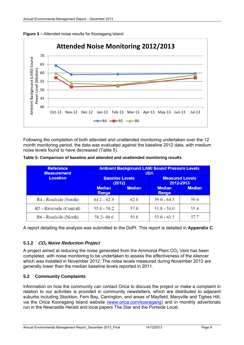



Following the completion of both attended and unattended monitoring undertaken over the 12 month monitoring period, the data was evaluated against the baseline 2012 data, with medium noise levels found to have decreased (Table 5).

|  | Table 5: Comparison of baseline and attended and unattended monitoring results |  |  |
|--|--------------------------------------------------------------------------------|--|--|
|  |                                                                                |  |  |

| <b>Reference</b><br><b>Measurement</b> | <b>Ambient Background LA90 Sound Pressure Levels</b><br><b>dBA</b> |                                  |                        |                                     |  |
|----------------------------------------|--------------------------------------------------------------------|----------------------------------|------------------------|-------------------------------------|--|
| <b>Location</b>                        |                                                                    | <b>Baseline Levels</b><br>(2012) |                        | <b>Measured Levels</b><br>2012-2013 |  |
|                                        | <b>Median</b><br>Range                                             | <b>Median</b>                    | <b>Median</b><br>Range | <b>Median</b>                       |  |
| R4 - Roadside (South)                  | $61.2 - 62.9$                                                      | 62.0                             | $59.0 - 64.3$          | 59.6                                |  |
| R5 - Riverside (Central)               | $55.8 - 58.2$                                                      | 57.0                             | $51.8 - 58.0$          | 55.4                                |  |
| R6 - Roadside (North)                  | $58.2 - 60.6$                                                      | 59.8                             | $53.0 - 60.5$          | 57.7                                |  |

A report detailing the analysis was submitted to the DoPI. This report is detailed in **Appendix C**.

#### **5.1.2 CO2 Noise Reduction Project**

A project aimed at reducing the noise generated from the Ammonia Plant  $CO<sub>2</sub>$  Vent has been completed, with noise monitoring to be undertaken to assess the effectiveness of the silencer which was installed in November 2012. The noise levels measured during November 2012 are generally lower than the median baseline levels reported in 2011.

#### **5.2 Community Complaints**

Information on how the community can contact Orica to discuss the project or make a complaint in relation to our activities is provided in community newsletters, which are distributed to adjacent suburbs including Stockton, Fern Bay, Carrington, and areas of Mayfield, Maryville and Tighes Hill, via the Orica Kooragang Island website (www.orica.com/kooragang) and in monthly advertorials run in the Newcastle Herald and local papers The Star and the Portside Local.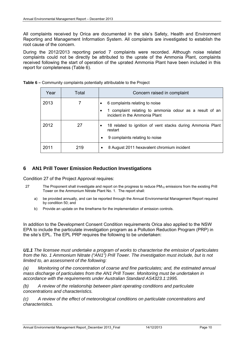All complaints received by Orica are documented in the site's Safety, Health and Environment Reporting and Management Information System. All complaints are investigated to establish the root cause of the concern.

During the 2012/2013 reporting period 7 complaints were recorded. Although noise related complaints could not be directly be attributed to the uprate of the Ammonia Plant, complaints received following the start of operation of the uprated Ammonia Plant have been included in this report for completeness (Table 6).

| Year | Total | Concern raised in complaint                                                                   |
|------|-------|-----------------------------------------------------------------------------------------------|
| 2013 | 7     | 6 complaints relating to noise                                                                |
|      |       | 1 complaint relating to ammonia odour as a result of an<br>٠<br>incident in the Ammonia Plant |
| 2012 | 27    | 18 related to ignition of vent stacks during Ammonia Plant<br>$\bullet$<br>restart            |
|      |       | 9 complaints relating to noise<br>٠                                                           |
| 2011 | 219   | 8 August 2011 hexavalent chromium incident<br>٠                                               |

**Table 6 –** Community complaints potentially attributable to the Project

#### **6 AN1 Prill Tower Emission Reduction Investigations**

Condition 27 of the Project Approval requires:

- 27 The Proponent shall investigate and report on the progress to reduce PM<sub>10</sub> emissions from the existing Prill Tower on the Ammonium Nitrate Plant No. 1. The report shall:
	- a) be provided annually, and can be reported through the Annual Environmental Management Report required by condition 50; and
	- b) Provide an update on the timeframe for the implementation of emission controls.

In addition to the Development Consent Condition requirements Orica also applied to the NSW EPA to include the particulate investigation program as a Pollution Reduction Program (PRP) in the site's EPL. The EPL PRP requires the following to be undertaken:

*U1.1 The licensee must undertake a program of works to characterise the emission of particulates from the No. 1 Ammonium Nitrate ("AN1") Prill Tower. The investigation must include, but is not limited to, an assessment of the following:* 

*(a) Monitoring of the concentration of coarse and fine particulates; and, the estimated annual mass discharge of particulates from the AN1 Prill Tower. Monitoring must be undertaken in accordance with the requirements under Australian Standard AS4323.1:1995.* 

*(b) A review of the relationship between plant operating conditions and particulate concentrations and characteristics.* 

*(c) A review of the effect of meteorological conditions on particulate concentrations and characteristics.*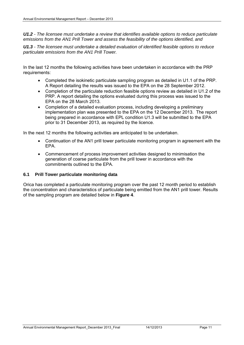*U1.2 - The licensee must undertake a review that identifies available options to reduce particulate emissions from the AN1 Prill Tower and assess the feasibility of the options identified, and* 

*U1.3 - The licensee must undertake a detailed evaluation of identified feasible options to reduce particulate emissions from the AN1 Prill Tower.*

In the last 12 months the following activities have been undertaken in accordance with the PRP requirements:

- Completed the isokinetic particulate sampling program as detailed in U1.1 of the PRP. A Report detailing the results was issued to the EPA on the 28 September 2012.
- Completion of the particulate reduction feasible options review as detailed in U1.2 of the PRP. A report detailing the options evaluated during this process was issued to the EPA on the 28 March 2013.
- Completion of a detailed evaluation process, including developing a preliminary implementation plan was presented to the EPA on the 12 December 2013. The report being prepared in accordance with EPL condition U1.3 will be submitted to the EPA prior to 31 December 2013, as required by the licence.

In the next 12 months the following activities are anticipated to be undertaken.

- Continuation of the AN1 prill tower particulate monitoring program in agreement with the EPA.
- Commencement of process improvement activities designed to minimisation the generation of coarse particulate from the prill tower in accordance with the commitments outlined to the EPA.

#### **6.1 Prill Tower particulate monitoring data**

Orica has completed a particulate monitoring program over the past 12 month period to establish the concentration and characteristics of particulate being emitted from the AN1 prill tower. Results of the sampling program are detailed below in **Figure 4**.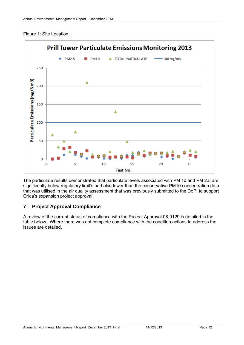#### Figure 1: Site Location



The particulate results demonstrated that particulate levels associated with PM 10 and PM 2.5 are significantly below regulatory limit's and also lower than the conservative PM10 concentration data that was utilised in the air quality assessment that was previously submitted to the DoPI to support Orica's expansion project approval.

## **7 Project Approval Compliance**

A review of the current status of compliance with the Project Approval 08-0129 is detailed in the table below. Where there was not complete compliance with the condition actions to address the issues are detailed.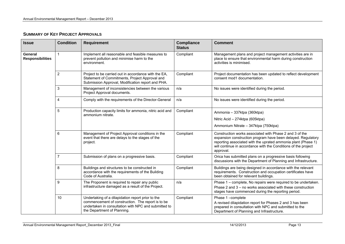## **SUMMARY OF KEY PROJECT APPROVALS**

| <b>Issue</b>                       | <b>Condition</b> | <b>Requirement</b>                                                                                                                                                                            | <b>Compliance</b><br><b>Status</b> | <b>Comment</b>                                                                                                                                                                                                                                                          |
|------------------------------------|------------------|-----------------------------------------------------------------------------------------------------------------------------------------------------------------------------------------------|------------------------------------|-------------------------------------------------------------------------------------------------------------------------------------------------------------------------------------------------------------------------------------------------------------------------|
| General<br><b>Responsibilities</b> | 1                | Implement all reasonable and feasible measures to<br>prevent pollution and minimise harm to the<br>environment.                                                                               | Compliant                          | Management plans and project management activities are in<br>place to ensure that environmental harm during construction<br>activities is minimised.                                                                                                                    |
|                                    | 2                | Project to be carried out in accordance with the EA,<br>Statement of Commitments, Project Approval and<br>Submission Approval, Modification report and PHA.                                   | Compliant                          | Project documentation has been updated to reflect development<br>consent mod1 documentation.                                                                                                                                                                            |
|                                    | 3                | Management of inconsistencies between the various<br>Project Approval documents.                                                                                                              | n/a                                | No issues were identified during the period.                                                                                                                                                                                                                            |
|                                    | 4                | Comply with the requirements of the Director-General                                                                                                                                          | n/a                                | No issues were identified during the period.                                                                                                                                                                                                                            |
|                                    | 5                | Production capacity limits for ammonia, nitric acid and<br>ammonium nitrate.                                                                                                                  | Compliant                          | Ammonia - 337ktpa (360ktpa)                                                                                                                                                                                                                                             |
|                                    |                  |                                                                                                                                                                                               |                                    | Nitric Acid - 274ktpa (605ktpa)                                                                                                                                                                                                                                         |
|                                    |                  |                                                                                                                                                                                               |                                    | Ammonium Nitrate - 347ktpa (750ktpa)                                                                                                                                                                                                                                    |
|                                    | 6                | Management of Project Approval conditions in the<br>event that there are delays to the stages of the<br>project.                                                                              | Compliant                          | Construction works associated with Phase 2 and 3 of the<br>expansion construction program have been delayed. Regulatory<br>reporting associated with the uprated ammonia plant (Phase 1)<br>will continue in accordance with the Conditions of the project<br>approval. |
|                                    | $\overline{7}$   | Submission of plans on a progressive basis.                                                                                                                                                   | Compliant                          | Orica has submitted plans on a progressive basis following<br>discussions with the Department of Planning and Infrastructure.                                                                                                                                           |
|                                    | 8                | Buildings and structures to be constructed in<br>accordance with the requirements of the Building<br>Code of Australia.                                                                       | Compliant                          | Buildings are being designed in accordance with the relevant<br>requirements. Construction and occupation certificates have<br>been obtained for relevant buildings.                                                                                                    |
|                                    | 9                | The Proponent is required to repair any public<br>infrastructure damaged as a result of the Project.                                                                                          | n/a                                | Phase 1 – complete, No repairs were required to be undertaken.<br>Phase 2 and 3 – no works associated with these construction<br>stages have commenced during the reporting period.                                                                                     |
|                                    | 10               | Undertaking of a dilapidation report prior to the<br>commencement of construction. The report is to be<br>undertaken in consultation with NPC and submitted to<br>the Department of Planning. | Compliant                          | Phase 1-complete<br>A revised dilapidation report for Phases 2 and 3 has been<br>prepared in consultation with NPC and submitted to the<br>Department of Planning and Infrastructure.                                                                                   |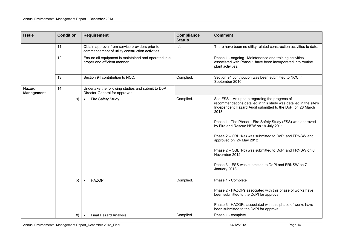| <b>Issue</b>                | <b>Condition</b> | <b>Requirement</b>                                                                                 | <b>Compliance</b><br><b>Status</b> | <b>Comment</b>                                                                                                                                                                                                                                                                                                                                                                                                                                                                                                                             |
|-----------------------------|------------------|----------------------------------------------------------------------------------------------------|------------------------------------|--------------------------------------------------------------------------------------------------------------------------------------------------------------------------------------------------------------------------------------------------------------------------------------------------------------------------------------------------------------------------------------------------------------------------------------------------------------------------------------------------------------------------------------------|
|                             | 11               | Obtain approval from service providers prior to<br>commencement of utility construction activities | n/a                                | There have been no utility related construction activities to date.                                                                                                                                                                                                                                                                                                                                                                                                                                                                        |
|                             | 12               | Ensure all equipment is maintained and operated in a<br>proper and efficient manner.               |                                    | Phase 1 - ongoing. Maintenance and training activities<br>associated with Phase 1 have been incorporated into routine<br>plant activities.                                                                                                                                                                                                                                                                                                                                                                                                 |
|                             | 13               | Section 94 contribution to NCC.                                                                    | Complied.                          | Section 94 contribution was been submitted to NCC in<br>September 2010.                                                                                                                                                                                                                                                                                                                                                                                                                                                                    |
| Hazard<br><b>Management</b> | 14               | Undertake the following studies and submit to DoP<br>Director-General for approval:                |                                    |                                                                                                                                                                                                                                                                                                                                                                                                                                                                                                                                            |
|                             | a)               | Fire Safety Study<br>$\bullet$                                                                     | Complied.                          | Site FSS - An update regarding the progress of<br>recommendations detailed in this study was detailed in the site's<br>Independent Hazard Audit submitted to the DoPI on 28 March<br>2013.<br>Phase 1 - The Phase 1 Fire Safety Study (FSS) was approved<br>by Fire and Rescue NSW on 19 July 2011<br>Phase 2 - OBL 1(a) was submitted to DoPI and FRNSW and<br>approved on 24 May 2012<br>Phase 2 – OBL 1(b) was submitted to DoPI and FRNSW on 6<br>November 2012<br>Phase 3 – FSS was submitted to DoPI and FRNSW on 7<br>January 2013. |
|                             | b)               | <b>HAZOP</b><br>$\bullet$                                                                          | Complied.                          | Phase 1 - Complete                                                                                                                                                                                                                                                                                                                                                                                                                                                                                                                         |
|                             |                  |                                                                                                    |                                    | Phase 2 - HAZOPs associated with this phase of works have<br>been submitted to the DoPI for approval.                                                                                                                                                                                                                                                                                                                                                                                                                                      |
|                             |                  |                                                                                                    |                                    | Phase 3-HAZOPs associated with this phase of works have<br>been submitted to the DoPI for approval                                                                                                                                                                                                                                                                                                                                                                                                                                         |
|                             | C)               | <b>Final Hazard Analysis</b><br>$\bullet$                                                          | Complied.                          | Phase 1 - complete                                                                                                                                                                                                                                                                                                                                                                                                                                                                                                                         |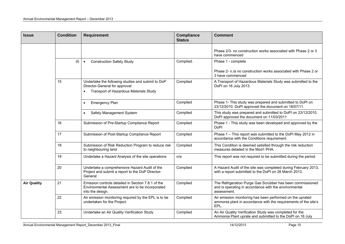| <b>Issue</b>       | <b>Condition</b> | <b>Requirement</b>                                                                                                        | <b>Compliance</b><br><b>Status</b> | <b>Comment</b>                                                                                                                       |
|--------------------|------------------|---------------------------------------------------------------------------------------------------------------------------|------------------------------------|--------------------------------------------------------------------------------------------------------------------------------------|
|                    |                  |                                                                                                                           |                                    | Phase 2/3- no construction works associated with Phase 2 or 3<br>have commenced                                                      |
|                    | d)               | <b>Construction Safety Study</b>                                                                                          | Complied.                          | Phase 1 - complete                                                                                                                   |
|                    |                  |                                                                                                                           |                                    | Phase 2- n./a no construction works associated with Phase 2 or<br>3 have commenced                                                   |
|                    | 15               | Undertake the following studies and submit to DoP<br>Director-General for approval:                                       | Complied                           | A Transport of Hazardous Materials Study was submitted to the<br>DoPI on 16 July 2013.                                               |
|                    |                  | Transport of Hazardous Materials Study                                                                                    |                                    |                                                                                                                                      |
|                    |                  | <b>Emergency Plan</b><br>$\bullet$                                                                                        | Complied                           | Phase 1- This study was prepared and submitted to DoPI on<br>23/12/2010. DoPI approved the document on 18/07/11.                     |
|                    |                  | Safety Management System<br>$\bullet$                                                                                     | Complied                           | This study was prepared and submitted to DoPI on 23/12/2010.<br>DoPI approved the document on 11/03/2011                             |
|                    | 16               | Submission of Pre-Startup Compliance Report                                                                               | Complied                           | Phase 1 - This study was been developed and approved by the<br><b>DoPI</b>                                                           |
|                    | 17               | Submission of Post-Startup Compliance Report                                                                              | Complied                           | Phase 1 - This report was submitted to the DoPI May 2012 in<br>accordance with the Conditions requirement.                           |
|                    | 18               | Submission of Risk Reduction Program to reduce risk<br>to neighbouring land                                               | Complied                           | This Condition is deemed satisfied through the risk reduction<br>measures detailed in the Mod1 PHA.                                  |
|                    | 19               | Undertake a Hazard Analysis of the site operations                                                                        | n/a                                | This report was not required to be submitted during the period.                                                                      |
|                    | 20               | Undertake a comprehensive Hazard Audit of the<br>Project and submit a report to the DoP Director-<br>General              | Complied                           | A Hazard Audit of the site was completed during February 2013,<br>with a report submitted to the DoPI on 28 March 2013.              |
| <b>Air Quality</b> | 21               | Emission controls detailed in Section 7.8.1 of the<br>Environmental Assessment are to be incorporated<br>into the design. | Complied                           | The Refrigeration Purge Gas Scrubber has been commissioned<br>and is operating in accordance with the environmental<br>assessment.   |
|                    | 22               | Air emission monitoring required by the EPL is to be<br>undertaken for the Project.                                       | Complied                           | Air emission monitoring has been performed on the uprated<br>ammonia plant in accordance with the requirements of the site's<br>EPL. |
|                    | 23               | Undertake an Air Quality Verification Study                                                                               | Complied                           | An Air Quality Verification Study was completed for the<br>Ammonia Plant uprate and submitted to the DoPI on 16 July                 |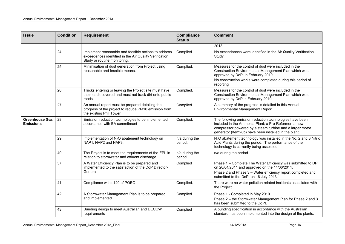| <b>Issue</b>                              | <b>Condition</b> | <b>Requirement</b>                                                                                                                             | <b>Compliance</b><br><b>Status</b> | <b>Comment</b>                                                                                                                                                                                                                       |
|-------------------------------------------|------------------|------------------------------------------------------------------------------------------------------------------------------------------------|------------------------------------|--------------------------------------------------------------------------------------------------------------------------------------------------------------------------------------------------------------------------------------|
|                                           |                  |                                                                                                                                                |                                    | 2013.                                                                                                                                                                                                                                |
|                                           | 24               | Implement reasonable and feasible actions to address<br>exceedences identified in the Air Quality Verification<br>Study or routine monitoring. | Complied                           | No exceedances were identified in the Air Quality Verification<br>Study.                                                                                                                                                             |
|                                           | 25               | Minimisation of dust generation from Project using<br>reasonable and feasible means.                                                           | Complied.                          | Measures for the control of dust were included in the<br>Construction Environmental Management Plan which was<br>approved by DoPI in February 2010.<br>No construction works were completed during this period of<br>reporting       |
|                                           | 26               | Trucks entering or leaving the Project site must have<br>their loads covered and must not track dirt onto public<br>roads                      | Complied.                          | Measures for the control of dust were included in the<br>Construction Environmental Management Plan which was<br>approved by DoP in February 2010.                                                                                   |
|                                           | 27               | An annual report must be prepared detailing the<br>progress of the project to reduce PM10 emission from<br>the existing Prill Tower            | Complied.                          | A summary of the progress is detailed in this Annual<br>Environmental Management Report.                                                                                                                                             |
| <b>Greenhouse Gas</b><br><b>Emissions</b> | 28               | Emission reduction technologies to be implemented in<br>accordance with EA commitment                                                          | Complied.                          | The following emission reduction technologies have been<br>included in the Ammonia Plant; a Pre-Reformer, a new<br>compressor powered by a steam turbine and a larger motor<br>generator (Item28b) have been installed in the plant. |
|                                           | 29               | Implementation of N <sub>2</sub> O abatement technology on<br>NAP1, NAP2 and NAP3.                                                             | n/a during the<br>period.          | N <sub>2</sub> O abatement technology was installed in the No. 2 and 3 Nitric<br>Acid Plants during the period. The performance of the<br>technology is currently being assessed.                                                    |
|                                           | 40               | The Project is to meet the requirements of the EPL in<br>relation to stormwater and effluent discharge                                         | n/a during the<br>period.          | n/a during the period.                                                                                                                                                                                                               |
|                                           | 37               | A Water Efficiency Plan is to be prepared and<br>implemented to the satisfaction of the DoP Director-<br>General                               | Complied                           | Phase 1 - Complete The Water Efficiency was submitted to DPI<br>on 20/04/2011 and approved on the 14/06/2011.<br>Phase 2 and Phase 3 - Water efficiency report completed and<br>submitted to the DoPI on 16 July 2013.               |
|                                           | 41               | Compliance with s120 of POEO                                                                                                                   | Complied.                          | There were no water pollution related incidents associated with<br>the Project.                                                                                                                                                      |
|                                           | 42               | A Stormwater Management Plan is to be prepared<br>and implemented                                                                              | Complied.                          | Phase 1 - Completed in May 2010.<br>Phase 2 - the Stormwater Management Plan for Phase 2 and 3<br>has been submitted to the DoPI.                                                                                                    |
|                                           | 43               | Bunding design to meet Australian and DECCW<br>requirements                                                                                    | Complied                           | A bunding specification in accordance with the Australian<br>standard has been implemented into the design of the plants.                                                                                                            |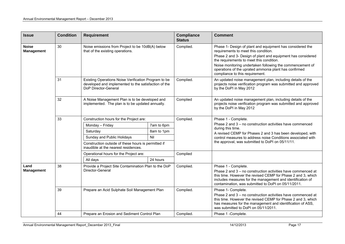| <b>Issue</b>                      | <b>Condition</b> | <b>Requirement</b>                                                                                                                   |            | <b>Compliance</b><br><b>Status</b> | <b>Comment</b>                                                                                                                                                                                                                                                                                                                                                        |
|-----------------------------------|------------------|--------------------------------------------------------------------------------------------------------------------------------------|------------|------------------------------------|-----------------------------------------------------------------------------------------------------------------------------------------------------------------------------------------------------------------------------------------------------------------------------------------------------------------------------------------------------------------------|
| <b>Noise</b><br><b>Management</b> | 30               | Noise emissions from Project to be 10dB(A) below<br>that of the existing operations.                                                 |            | Complied.                          | Phase 1- Design of plant and equipment has considered the<br>requirements to meet this condition.<br>Phase 2 and 3- Design of plant and equipment has considered<br>the requirements to meet this condition.<br>Noise monitoring undertaken following the commencement of<br>operations of the uprated ammonia plant has confirmed<br>compliance to this requirement. |
|                                   | 31               | Existing Operations Noise Verification Program to be<br>developed and implemented to the satisfaction of the<br>DoP Director-General |            | Complied.                          | An updated noise management plan, including details of the<br>projects noise verification program was submitted and approved<br>by the DoPI in May 2012                                                                                                                                                                                                               |
|                                   | 32               | A Noise Management Plan is to be developed and<br>implemented. The plan is to be updated annually.                                   |            | Complied                           | An updated noise management plan, including details of the<br>projects noise verification program was submitted and approved<br>by the DoPI in May 2012                                                                                                                                                                                                               |
|                                   | 33               | Construction hours for the Project are:                                                                                              |            | Complied.                          | Phase 1 - Complete.                                                                                                                                                                                                                                                                                                                                                   |
|                                   |                  | Monday - Friday                                                                                                                      | 7am to 6pm |                                    | Phase 2 and 3 – no construction activities have commenced                                                                                                                                                                                                                                                                                                             |
|                                   |                  | Saturday                                                                                                                             | 8am to 1pm |                                    | during this time.<br>A revised CEMP for Phases 2 and 3 has been developed, with                                                                                                                                                                                                                                                                                       |
|                                   |                  | Sunday and Public Holidays                                                                                                           | Nil        |                                    | control measures to address noise Conditions associated with                                                                                                                                                                                                                                                                                                          |
|                                   |                  | Construction outside of these hours is permitted if<br>inaudible at the nearest residences.                                          |            |                                    | the approval, was submitted to DoPI on 05/11/11.                                                                                                                                                                                                                                                                                                                      |
|                                   |                  | Operational hours for the Project are:                                                                                               |            | Complied                           |                                                                                                                                                                                                                                                                                                                                                                       |
|                                   |                  | All days                                                                                                                             | 24 hours   |                                    |                                                                                                                                                                                                                                                                                                                                                                       |
| Land<br><b>Management</b>         | 38               | Provide a Project Site Contamination Plan to the DoP<br>Director-General                                                             |            | Complied.                          | Phase 1 - Complete.<br>Phase 2 and 3 – no construction activities have commenced at<br>this time. However the revised CEMP for Phase 2 and 3, which<br>includes measures for the management and identification of<br>contamination, was submitted to DoPI on 05/11/2011.                                                                                              |
|                                   | 39               | Prepare an Acid Sulphate Soil Management Plan                                                                                        |            | Complied.                          | Phase 1- Complete.                                                                                                                                                                                                                                                                                                                                                    |
|                                   |                  |                                                                                                                                      |            |                                    | Phase 2 and 3 – no construction activities have commenced at<br>this time. However the revised CEMP for Phase 2 and 3, which<br>has measures for the management and identification of ASS,<br>was submitted to DoPI on 05/11/2011.                                                                                                                                    |
|                                   | 44               | Prepare an Erosion and Sediment Control Plan                                                                                         |            | Complied.                          | Phase 1 - Complete.                                                                                                                                                                                                                                                                                                                                                   |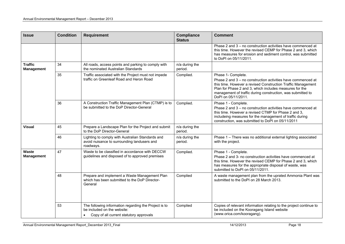| <b>Issue</b>                        | <b>Condition</b> | <b>Requirement</b>                                                                                                              | <b>Compliance</b><br><b>Status</b> | <b>Comment</b>                                                                                                                                                                                                                                                                                      |
|-------------------------------------|------------------|---------------------------------------------------------------------------------------------------------------------------------|------------------------------------|-----------------------------------------------------------------------------------------------------------------------------------------------------------------------------------------------------------------------------------------------------------------------------------------------------|
|                                     |                  |                                                                                                                                 |                                    | Phase 2 and 3 - no construction activities have commenced at<br>this time. However the revised CEMP for Phase 2 and 3, which<br>has measures for erosion and sediment control, was submitted<br>to DoPI on 05/11/2011.                                                                              |
| <b>Traffic</b><br><b>Management</b> | 34               | All roads, access points and parking to comply with<br>the nominated Australian Standards                                       | n/a during the<br>period.          |                                                                                                                                                                                                                                                                                                     |
|                                     | 35               | Traffic associated with the Project must not impede<br>traffic on Greenleaf Road and Heron Road                                 | Complied.                          | Phase 1- Complete.<br>Phase 2 and 3 - no construction activities have commenced at<br>this time. However a revised Construction Traffic Management<br>Plan for Phase 2 and 3, which includes measures for the<br>management of traffic during construction, was submitted to<br>DoPI on 05/11/2011. |
|                                     | 36               | A Construction Traffic Management Plan (CTMP) is to<br>be submitted to the DoP Director-General                                 | Complied.                          | Phase 1 - Complete.<br>Phase 2 and 3 - no construction activities have commenced at<br>this time. However a revised CTMP for Phase 2 and 3,<br>includeing measures for the management of traffic during<br>construction, was submitted to DoPI on 05/11/2011                                        |
| <b>Visual</b>                       | 45               | Prepare a Landscape Plan for the Project and submit<br>to the DoP Director-General                                              | n/a during the<br>period.          |                                                                                                                                                                                                                                                                                                     |
|                                     | 46               | Lighting to comply with Australian Standards and<br>avoid nuisance to surrounding landusers and<br>roadways.                    | n/a during the<br>period.          | Phase 1 - There was no additional external lighting associated<br>with the project.                                                                                                                                                                                                                 |
| Waste<br><b>Management</b>          | 47               | Waste to be classified in accordance with DECCW<br>guidelines and disposed of to approved premises                              | Complied.                          | Phase 1 - Complete.<br>Phase 2 and 3- no construction activities have commenced at<br>this time. However the revised CEMP for Phase 2 and 3, which<br>has measures for the appropriate disposal of waste, was<br>submitted to DoPI on 05/11/2011.                                                   |
|                                     | 48               | Prepare and implement a Waste Management Plan<br>which has been submitted to the DoP Director-<br>General                       | Complied                           | A waste management plan from the uprated Ammonia Plant was<br>submitted to the DoPI on 28 March 2013.                                                                                                                                                                                               |
|                                     | 53               | The following information regarding the Project is to<br>be included on the website:<br>Copy of all current statutory approvals | Complied                           | Copies of relevant information relating to the project continue to<br>be included on the Kooragang Island website<br>(www.orica.com/kooragang).                                                                                                                                                     |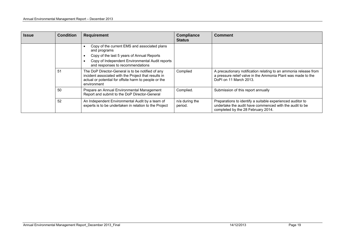| <b>Issue</b> | <b>Condition</b> | <b>Requirement</b>                                                                                                                                                                                | <b>Compliance</b><br><b>Status</b> | <b>Comment</b>                                                                                                                                              |
|--------------|------------------|---------------------------------------------------------------------------------------------------------------------------------------------------------------------------------------------------|------------------------------------|-------------------------------------------------------------------------------------------------------------------------------------------------------------|
|              |                  | Copy of the current EMS and associated plans<br>and programs<br>Copy of the last 5 years of Annual Reports<br>Copy of Independent Environmental Audit reports<br>and responses to recommendations |                                    |                                                                                                                                                             |
|              | 51               | The DoP Director-General is to be notified of any<br>incident associated with the Project that results in<br>actual or potential for offsite harm to people or the<br>environment                 | Complied                           | A precautionary notification relating to an ammonia release from<br>a pressure relief valve in the Ammonia Plant was made to the<br>DoPI on 11 March 2013.  |
|              | 50               | Prepare an Annual Environmental Management<br>Report and submit to the DoP Director-General                                                                                                       | Complied.                          | Submission of this report annually                                                                                                                          |
|              | 52               | An Independent Environmental Audit by a team of<br>experts is to be undertaken in relation to the Project                                                                                         | n/a during the<br>period.          | Preparations to identify a suitable experienced auditor to<br>undertake the audit have commenced with the audit to be<br>completed by the 28 February 2014. |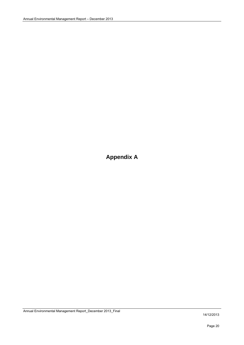**Appendix A**